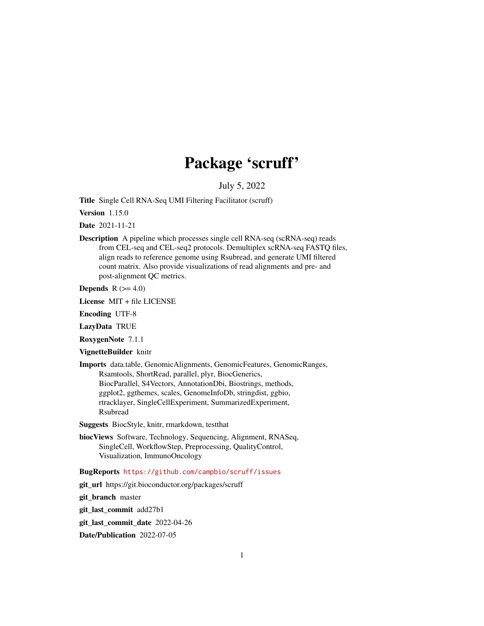# Package 'scruff'

July 5, 2022

<span id="page-0-0"></span>Title Single Cell RNA-Seq UMI Filtering Facilitator (scruff)

Version 1.15.0

Date 2021-11-21

Description A pipeline which processes single cell RNA-seq (scRNA-seq) reads from CEL-seq and CEL-seq2 protocols. Demultiplex scRNA-seq FASTQ files, align reads to reference genome using Rsubread, and generate UMI filtered count matrix. Also provide visualizations of read alignments and pre- and post-alignment QC metrics.

Depends  $R$  ( $>= 4.0$ )

License MIT + file LICENSE

Encoding UTF-8

LazyData TRUE

RoxygenNote 7.1.1

VignetteBuilder knitr

Imports data.table, GenomicAlignments, GenomicFeatures, GenomicRanges, Rsamtools, ShortRead, parallel, plyr, BiocGenerics, BiocParallel, S4Vectors, AnnotationDbi, Biostrings, methods, ggplot2, ggthemes, scales, GenomeInfoDb, stringdist, ggbio, rtracklayer, SingleCellExperiment, SummarizedExperiment, Rsubread

Suggests BiocStyle, knitr, rmarkdown, testthat

biocViews Software, Technology, Sequencing, Alignment, RNASeq, SingleCell, WorkflowStep, Preprocessing, QualityControl, Visualization, ImmunoOncology

# BugReports <https://github.com/campbio/scruff/issues>

git\_url https://git.bioconductor.org/packages/scruff

git branch master

git\_last\_commit add27b1

git last commit date 2022-04-26

Date/Publication 2022-07-05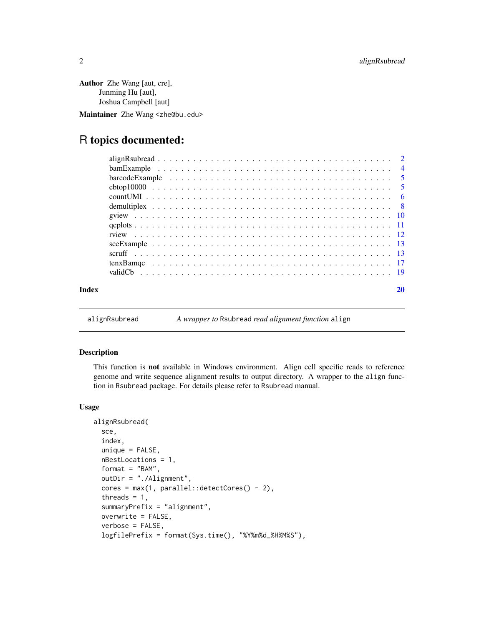<span id="page-1-0"></span>Author Zhe Wang [aut, cre], Junming Hu [aut], Joshua Campbell [aut]

Maintainer Zhe Wang <zhe@bu.edu>

# R topics documented:

|       | barcode Example $\ldots \ldots \ldots \ldots \ldots \ldots \ldots \ldots \ldots \ldots \ldots \ldots$ |    |
|-------|-------------------------------------------------------------------------------------------------------|----|
|       |                                                                                                       |    |
|       |                                                                                                       |    |
|       |                                                                                                       |    |
|       |                                                                                                       |    |
|       |                                                                                                       |    |
|       |                                                                                                       |    |
|       |                                                                                                       |    |
|       |                                                                                                       |    |
|       |                                                                                                       |    |
|       |                                                                                                       |    |
| Index |                                                                                                       | 20 |

alignRsubread *A wrapper to* Rsubread *read alignment function* align

# Description

This function is not available in Windows environment. Align cell specific reads to reference genome and write sequence alignment results to output directory. A wrapper to the align function in Rsubread package. For details please refer to Rsubread manual.

## Usage

```
alignRsubread(
  sce,
  index,
  unique = FALSE,nBestLocations = 1,
  format = "BAM",
  outDir = "./Alignment",
  cores = max(1, parallel::detectCores() - 2),threads = 1,
  summaryPrefix = "alignment",
  overwrite = FALSE,
  verbose = FALSE,
  logfilePrefix = format(Sys.time(), "%Y%m%d_%H%M%S"),
```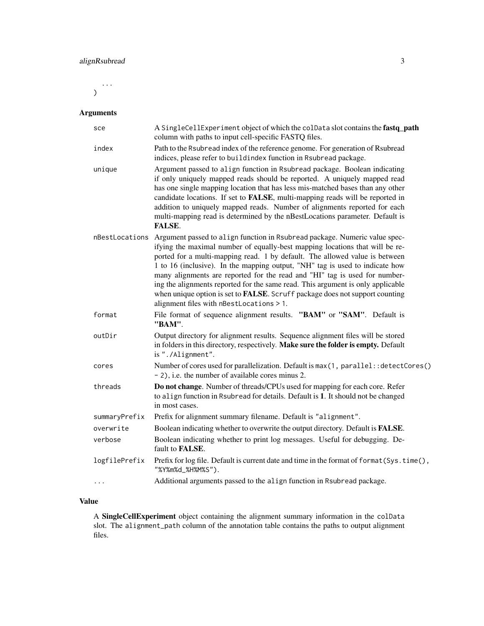...  $\mathcal{L}$ 

# Arguments

| sce            | A SingleCellExperiment object of which the colData slot contains the fastq_path<br>column with paths to input cell-specific FASTQ files.                                                                                                                                                                                                                                                                                                                                                                                                                                                                                       |
|----------------|--------------------------------------------------------------------------------------------------------------------------------------------------------------------------------------------------------------------------------------------------------------------------------------------------------------------------------------------------------------------------------------------------------------------------------------------------------------------------------------------------------------------------------------------------------------------------------------------------------------------------------|
| index          | Path to the Rsubread index of the reference genome. For generation of Rsubread<br>indices, please refer to buildindex function in Rsubread package.                                                                                                                                                                                                                                                                                                                                                                                                                                                                            |
| unique         | Argument passed to align function in Rsubread package. Boolean indicating<br>if only uniquely mapped reads should be reported. A uniquely mapped read<br>has one single mapping location that has less mis-matched bases than any other<br>candidate locations. If set to FALSE, multi-mapping reads will be reported in<br>addition to uniquely mapped reads. Number of alignments reported for each<br>multi-mapping read is determined by the nBestLocations parameter. Default is<br><b>FALSE.</b>                                                                                                                         |
| nBestLocations | Argument passed to align function in Rsubread package. Numeric value spec-<br>ifying the maximal number of equally-best mapping locations that will be re-<br>ported for a multi-mapping read. 1 by default. The allowed value is between<br>1 to 16 (inclusive). In the mapping output, "NH" tag is used to indicate how<br>many alignments are reported for the read and "HI" tag is used for number-<br>ing the alignments reported for the same read. This argument is only applicable<br>when unique option is set to <b>FALSE</b> . Scruff package does not support counting<br>alignment files with nBestLocations > 1. |
| format         | File format of sequence alignment results. "BAM" or "SAM". Default is<br>"BAM".                                                                                                                                                                                                                                                                                                                                                                                                                                                                                                                                                |
| outDir         | Output directory for alignment results. Sequence alignment files will be stored<br>in folders in this directory, respectively. Make sure the folder is empty. Default<br>is "./Alignment".                                                                                                                                                                                                                                                                                                                                                                                                                                     |
| cores          | Number of cores used for parallelization. Default is max(1, parallel: : detectCores()<br>- 2), i.e. the number of available cores minus 2.                                                                                                                                                                                                                                                                                                                                                                                                                                                                                     |
| threads        | Do not change. Number of threads/CPUs used for mapping for each core. Refer<br>to align function in Rsubread for details. Default is 1. It should not be changed<br>in most cases.                                                                                                                                                                                                                                                                                                                                                                                                                                             |
| summaryPrefix  | Prefix for alignment summary filename. Default is "alignment".                                                                                                                                                                                                                                                                                                                                                                                                                                                                                                                                                                 |
| overwrite      | Boolean indicating whether to overwrite the output directory. Default is FALSE.                                                                                                                                                                                                                                                                                                                                                                                                                                                                                                                                                |
| verbose        | Boolean indicating whether to print log messages. Useful for debugging. De-<br>fault to <b>FALSE</b> .                                                                                                                                                                                                                                                                                                                                                                                                                                                                                                                         |
| logfilePrefix  | Prefix for log file. Default is current date and time in the format of format (Sys.time(),<br>"%Y%m%d_%H%M%S").                                                                                                                                                                                                                                                                                                                                                                                                                                                                                                                |
| .              | Additional arguments passed to the align function in Rsubread package.                                                                                                                                                                                                                                                                                                                                                                                                                                                                                                                                                         |

# Value

A SingleCellExperiment object containing the alignment summary information in the colData slot. The alignment\_path column of the annotation table contains the paths to output alignment files.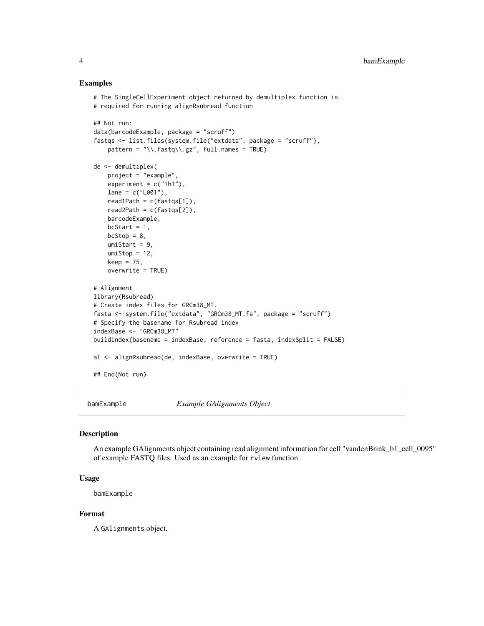# Examples

```
# The SingleCellExperiment object returned by demultiplex function is
# required for running alignRsubread function
## Not run:
data(barcodeExample, package = "scruff")
fastqs <- list.files(system.file("extdata", package = "scruff"),
    pattern = "\\.fastq\\.gz", full.names = TRUE)
de <- demultiplex(
   project = "example",
   experiment = c("1h1"),
   lane = c("L001"),
   read1Path = c(fasts[1]),read2Path = c(fasts[2]),barcodeExample,
   bcStart = 1,
   bcStop = 8,
   umiStart = 9,
   umistop = 12,
   keep = 75,
   overwrite = TRUE)
# Alignment
library(Rsubread)
# Create index files for GRCm38_MT.
fasta <- system.file("extdata", "GRCm38_MT.fa", package = "scruff")
# Specify the basename for Rsubread index
indexBase <- "GRCm38_MT"
buildindex(basename = indexBase, reference = fasta, indexSplit = FALSE)
al <- alignRsubread(de, indexBase, overwrite = TRUE)
## End(Not run)
```
bamExample *Example GAlignments Object*

#### Description

An example GAlignments object containing read alignment information for cell "vandenBrink\_b1\_cell\_0095" of example FASTQ files. Used as an example for rview function.

#### Usage

bamExample

# Format

A GAlignments object.

<span id="page-3-0"></span>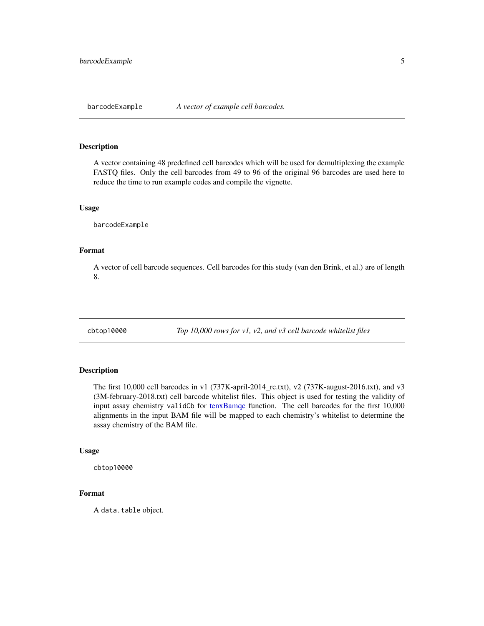<span id="page-4-0"></span>

#### Description

A vector containing 48 predefined cell barcodes which will be used for demultiplexing the example FASTQ files. Only the cell barcodes from 49 to 96 of the original 96 barcodes are used here to reduce the time to run example codes and compile the vignette.

# Usage

barcodeExample

# Format

A vector of cell barcode sequences. Cell barcodes for this study (van den Brink, et al.) are of length 8.

cbtop10000 *Top 10,000 rows for v1, v2, and v3 cell barcode whitelist files*

# Description

The first 10,000 cell barcodes in v1 (737K-april-2014\_rc.txt), v2 (737K-august-2016.txt), and v3 (3M-february-2018.txt) cell barcode whitelist files. This object is used for testing the validity of input assay chemistry validCb for [tenxBamqc](#page-16-1) function. The cell barcodes for the first 10,000 alignments in the input BAM file will be mapped to each chemistry's whitelist to determine the assay chemistry of the BAM file.

#### Usage

cbtop10000

# Format

A data.table object.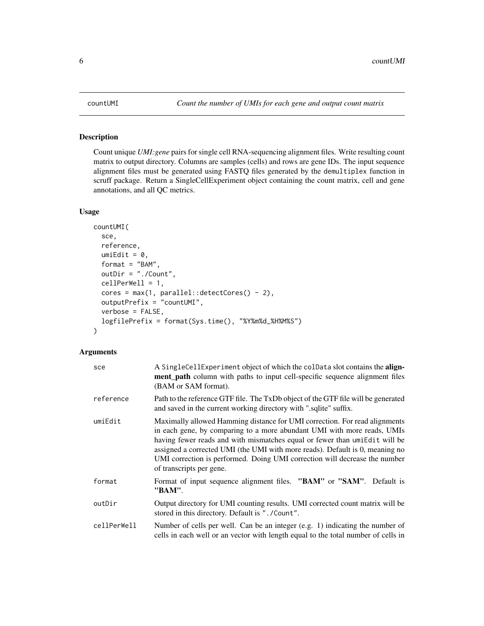<span id="page-5-1"></span><span id="page-5-0"></span>

# Description

Count unique *UMI:gene* pairs for single cell RNA-sequencing alignment files. Write resulting count matrix to output directory. Columns are samples (cells) and rows are gene IDs. The input sequence alignment files must be generated using FASTQ files generated by the demultiplex function in scruff package. Return a SingleCellExperiment object containing the count matrix, cell and gene annotations, and all QC metrics.

# Usage

```
countUMI(
  sce,
  reference,
  umifdit = 0,format = "BAM",
  outDir = "./Count",
  cellPerWell = 1,
  cores = max(1, parallel::detectCores() - 2),
  outputPrefix = "countUMI",
  verbose = FALSE,
  logfilePrefix = format(Sys.time(), "%Y%m%d_%H%M%S")
)
```
# Arguments

| sce         | A SingleCellExperiment object of which the colData slot contains the align-<br>ment_path column with paths to input cell-specific sequence alignment files<br>(BAM or SAM format).                                                                                                                                                                                                                                            |
|-------------|-------------------------------------------------------------------------------------------------------------------------------------------------------------------------------------------------------------------------------------------------------------------------------------------------------------------------------------------------------------------------------------------------------------------------------|
| reference   | Path to the reference GTF file. The TxDb object of the GTF file will be generated<br>and saved in the current working directory with ".sqlite" suffix.                                                                                                                                                                                                                                                                        |
| umiEdit     | Maximally allowed Hamming distance for UMI correction. For read alignments<br>in each gene, by comparing to a more abundant UMI with more reads, UMIs<br>having fewer reads and with mismatches equal or fewer than umiEdit will be<br>assigned a corrected UMI (the UMI with more reads). Default is 0, meaning no<br>UMI correction is performed. Doing UMI correction will decrease the number<br>of transcripts per gene. |
| format      | Format of input sequence alignment files. "BAM" or "SAM". Default is<br>"BAM".                                                                                                                                                                                                                                                                                                                                                |
| outDir      | Output directory for UMI counting results. UMI corrected count matrix will be<br>stored in this directory. Default is "./Count".                                                                                                                                                                                                                                                                                              |
| cellPerWell | Number of cells per well. Can be an integer (e.g. 1) indicating the number of<br>cells in each well or an vector with length equal to the total number of cells in                                                                                                                                                                                                                                                            |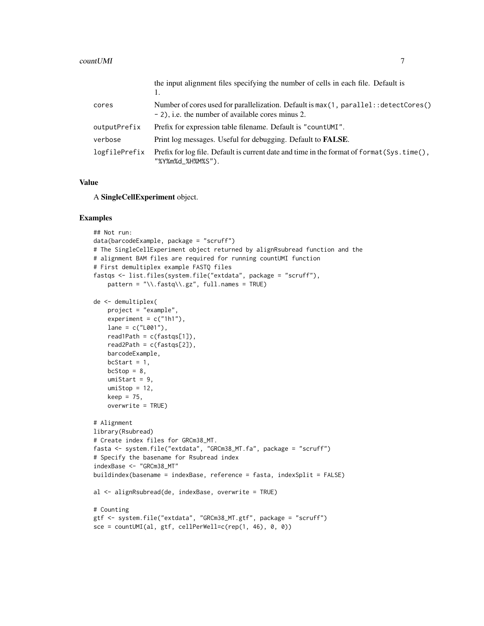|               | the input alignment files specifying the number of cells in each file. Default is                                                          |
|---------------|--------------------------------------------------------------------------------------------------------------------------------------------|
| cores         | Number of cores used for parallelization. Default is max(1, parallel: : detectCores()<br>- 2), i.e. the number of available cores minus 2. |
| outputPrefix  | Prefix for expression table filename. Default is "countUMI".                                                                               |
| verbose       | Print log messages. Useful for debugging. Default to <b>FALSE</b> .                                                                        |
| logfilePrefix | Prefix for log file. Default is current date and time in the format of format (Sys.time(),<br>"%Y%m%d_%H%M%S").                            |

A SingleCellExperiment object.

```
## Not run:
data(barcodeExample, package = "scruff")
# The SingleCellExperiment object returned by alignRsubread function and the
# alignment BAM files are required for running countUMI function
# First demultiplex example FASTQ files
fastqs <- list.files(system.file("extdata", package = "scruff"),
    pattern = "\\.fastq\\.gz", full.names = TRUE)
de <- demultiplex(
    project = "example",
    experiment = c("1h1"),
    lane = c("L001"),
    read1Path = c(fasts[1]),read2Path = c(fastqs[2]),
    barcodeExample,
    bcStart = 1,
    bcStop = 8,
    umistrart = 9,
    umistop = 12,
    keep = 75,
    overwrite = TRUE)
# Alignment
library(Rsubread)
# Create index files for GRCm38_MT.
fasta <- system.file("extdata", "GRCm38_MT.fa", package = "scruff")
# Specify the basename for Rsubread index
indexBase <- "GRCm38_MT"
buildindex(basename = indexBase, reference = fasta, indexSplit = FALSE)
al <- alignRsubread(de, indexBase, overwrite = TRUE)
# Counting
gtf <- system.file("extdata", "GRCm38_MT.gtf", package = "scruff")
\text{see} = \text{countUMI}\left(\text{al}, \text{gtf}, \text{cellPerWell=c}(\text{rep}(1, 46), 0, 0)\right)
```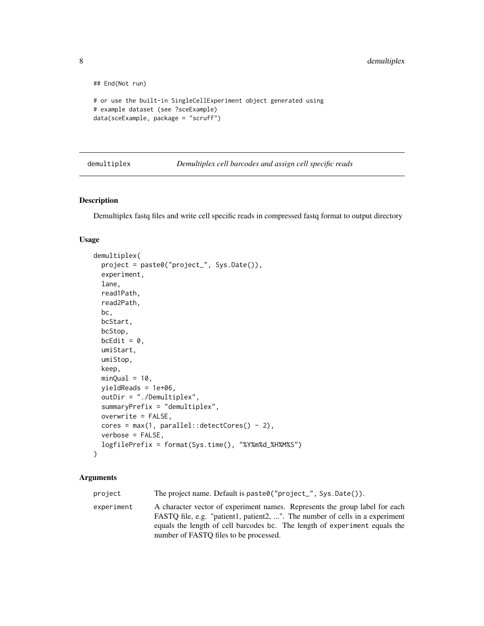```
## End(Not run)
# or use the built-in SingleCellExperiment object generated using
# example dataset (see ?sceExample)
data(sceExample, package = "scruff")
```
demultiplex *Demultiplex cell barcodes and assign cell specific reads*

### Description

Demultiplex fastq files and write cell specific reads in compressed fastq format to output directory

#### Usage

```
demultiplex(
 project = paste0("project_", Sys.Date()),
  experiment,
  lane,
  read1Path,
  read2Path,
 bc,
 bcStart,
 bcStop,
 bcEdit = 0,
  umiStart,
  umiStop,
  keep,
 minQual = 10,
 yieldReads = 1e+06,
  outDir = "./Demultiplex",
  summaryPrefix = "demultiplex",
  overwrite = FALSE,
  cores = max(1, parallel::detectCores() - 2),verbose = FALSE,
  logfilePrefix = format(Sys.time(), "%Y%m%d_%H%M%S")
)
```
# Arguments

project The project name. Default is paste0("project\_", Sys.Date()). experiment A character vector of experiment names. Represents the group label for each FASTQ file, e.g. "patient1, patient2, ...". The number of cells in a experiment equals the length of cell barcodes bc. The length of experiment equals the number of FASTQ files to be processed.

<span id="page-7-0"></span>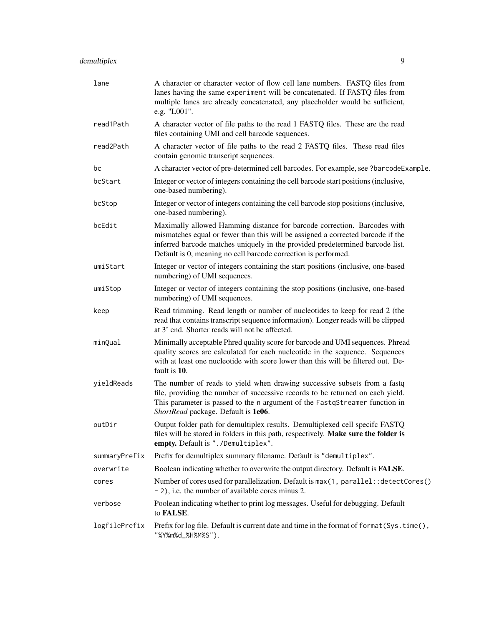| lane          | A character or character vector of flow cell lane numbers. FASTQ files from<br>lanes having the same experiment will be concatenated. If FASTQ files from<br>multiple lanes are already concatenated, any placeholder would be sufficient,<br>e.g. "L001".                                                     |
|---------------|----------------------------------------------------------------------------------------------------------------------------------------------------------------------------------------------------------------------------------------------------------------------------------------------------------------|
| read1Path     | A character vector of file paths to the read 1 FASTQ files. These are the read<br>files containing UMI and cell barcode sequences.                                                                                                                                                                             |
| read2Path     | A character vector of file paths to the read 2 FASTQ files. These read files<br>contain genomic transcript sequences.                                                                                                                                                                                          |
| bc            | A character vector of pre-determined cell barcodes. For example, see ?barcodeExample.                                                                                                                                                                                                                          |
| bcStart       | Integer or vector of integers containing the cell barcode start positions (inclusive,<br>one-based numbering).                                                                                                                                                                                                 |
| bcStop        | Integer or vector of integers containing the cell barcode stop positions (inclusive,<br>one-based numbering).                                                                                                                                                                                                  |
| bcEdit        | Maximally allowed Hamming distance for barcode correction. Barcodes with<br>mismatches equal or fewer than this will be assigned a corrected barcode if the<br>inferred barcode matches uniquely in the provided predetermined barcode list.<br>Default is 0, meaning no cell barcode correction is performed. |
| umiStart      | Integer or vector of integers containing the start positions (inclusive, one-based<br>numbering) of UMI sequences.                                                                                                                                                                                             |
| umiStop       | Integer or vector of integers containing the stop positions (inclusive, one-based<br>numbering) of UMI sequences.                                                                                                                                                                                              |
| keep          | Read trimming. Read length or number of nucleotides to keep for read 2 (the<br>read that contains transcript sequence information). Longer reads will be clipped<br>at 3' end. Shorter reads will not be affected.                                                                                             |
| minQual       | Minimally acceptable Phred quality score for barcode and UMI sequences. Phread<br>quality scores are calculated for each nucleotide in the sequence. Sequences<br>with at least one nucleotide with score lower than this will be filtered out. De-<br>fault is 10.                                            |
| yieldReads    | The number of reads to yield when drawing successive subsets from a fastq<br>file, providing the number of successive records to be returned on each yield.<br>This parameter is passed to the n argument of the FastqStreamer function in<br>ShortRead package. Default is 1e06.                              |
| outDir        | Output folder path for demultiplex results. Demultiplexed cell specifc FASTQ<br>files will be stored in folders in this path, respectively. Make sure the folder is<br>empty. Default is "./Demultiplex".                                                                                                      |
| summaryPrefix | Prefix for demultiplex summary filename. Default is "demultiplex".                                                                                                                                                                                                                                             |
| overwrite     | Boolean indicating whether to overwrite the output directory. Default is FALSE.                                                                                                                                                                                                                                |
| cores         | Number of cores used for parallelization. Default is max (1, parallel: : detectCores ()<br>- 2), i.e. the number of available cores minus 2.                                                                                                                                                                   |
| verbose       | Poolean indicating whether to print log messages. Useful for debugging. Default<br>to FALSE.                                                                                                                                                                                                                   |
| logfilePrefix | Prefix for log file. Default is current date and time in the format of format (Sys.time(),<br>"%Y%m%d_%H%M%S").                                                                                                                                                                                                |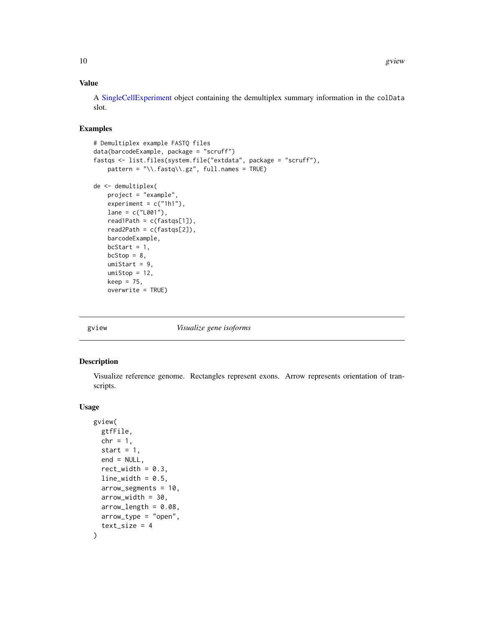<span id="page-9-0"></span>A [SingleCellExperiment](#page-0-0) object containing the demultiplex summary information in the colData slot.

# Examples

```
# Demultiplex example FASTQ files
data(barcodeExample, package = "scruff")
fastqs <- list.files(system.file("extdata", package = "scruff"),
   pattern = "\\.fastq\\.gz", full.names = TRUE)
de <- demultiplex(
   project = "example",
   experiment = c("1h1"),
   lane = c("L001"),
   read1Path = c(fastqs[1]),
   read2Path = c(fastqs[2]),
   barcodeExample,
   bcStart = 1,
   bcStop = 8,umiStart = 9,
   umistop = 12,keep = 75,
   overwrite = TRUE)
```
gview *Visualize gene isoforms*

# Description

Visualize reference genome. Rectangles represent exons. Arrow represents orientation of transcripts.

## Usage

```
gview(
  gtfFile,
  chr = 1,start = 1,
  end = NULL,rect\_width = 0.3,
  line\_width = 0.5,
  arrow_segments = 10,
  arrow_width = 30,
  arrow\_length = 0.08,
  arrow_type = "open",
  text\_size = 4)
```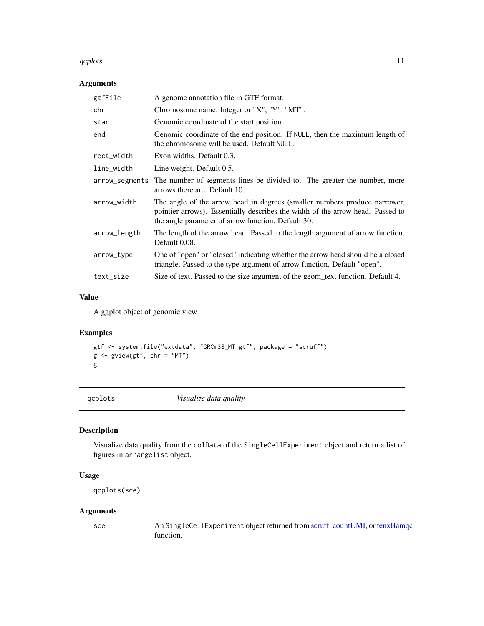#### <span id="page-10-0"></span>qcplots and the set of the set of the set of the set of the set of the set of the set of the set of the set of the set of the set of the set of the set of the set of the set of the set of the set of the set of the set of t

# Arguments

| gtfFile        | A genome annotation file in GTF format.                                                                                                                                                                           |
|----------------|-------------------------------------------------------------------------------------------------------------------------------------------------------------------------------------------------------------------|
| chr            | Chromosome name. Integer or "X", "Y", "MT".                                                                                                                                                                       |
| start          | Genomic coordinate of the start position.                                                                                                                                                                         |
| end            | Genomic coordinate of the end position. If NULL, then the maximum length of<br>the chromosome will be used. Default NULL.                                                                                         |
| rect_width     | Exon widths. Default 0.3.                                                                                                                                                                                         |
| line_width     | Line weight. Default 0.5.                                                                                                                                                                                         |
| arrow_segments | The number of segments lines be divided to. The greater the number, more<br>arrows there are. Default 10.                                                                                                         |
| arrow_width    | The angle of the arrow head in degrees (smaller numbers produce narrower,<br>pointier arrows). Essentially describes the width of the arrow head. Passed to<br>the angle parameter of arrow function. Default 30. |
| arrow_length   | The length of the arrow head. Passed to the length argument of arrow function.<br>Default 0.08.                                                                                                                   |
| arrow_type     | One of "open" or "closed" indicating whether the arrow head should be a closed<br>triangle. Passed to the type argument of arrow function. Default "open".                                                        |
| text_size      | Size of text. Passed to the size argument of the geom text function. Default 4.                                                                                                                                   |

# Value

A ggplot object of genomic view

# Examples

```
gtf <- system.file("extdata", "GRCm38_MT.gtf", package = "scruff")
g <- gview(gtf, chr = "MT")
g
```
qcplots *Visualize data quality*

# Description

Visualize data quality from the colData of the SingleCellExperiment object and return a list of figures in arrangelist object.

# Usage

```
qcplots(sce)
```
# Arguments

sce An SingleCellExperiment object returned from [scruff,](#page-12-1) [countUMI,](#page-5-1) or [tenxBamqc](#page-16-1) function.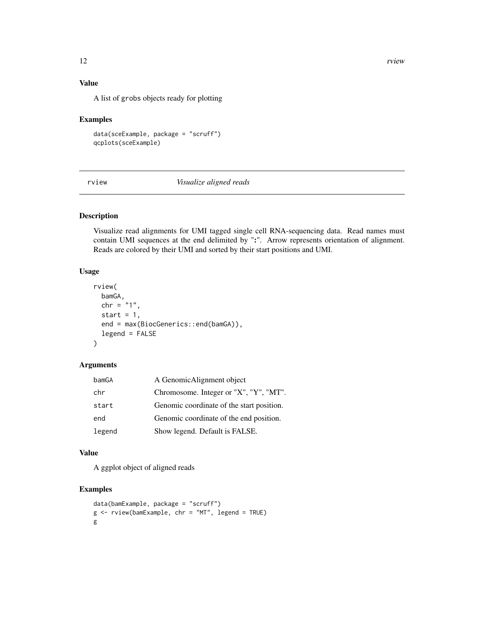<span id="page-11-0"></span>A list of grobs objects ready for plotting

# Examples

```
data(sceExample, package = "scruff")
qcplots(sceExample)
```
rview *Visualize aligned reads*

# Description

Visualize read alignments for UMI tagged single cell RNA-sequencing data. Read names must contain UMI sequences at the end delimited by ":". Arrow represents orientation of alignment. Reads are colored by their UMI and sorted by their start positions and UMI.

# Usage

```
rview(
 bamGA,
 chr = "1",start = 1,
 end = max(BiocGenerics::end(bamGA)),
  legend = FALSE
)
```
# Arguments

| bamGA  | A GenomicAlignment object                 |
|--------|-------------------------------------------|
| chr    | Chromosome. Integer or "X", "Y", "MT".    |
| start  | Genomic coordinate of the start position. |
| end    | Genomic coordinate of the end position.   |
| legend | Show legend. Default is FALSE.            |

# Value

A ggplot object of aligned reads

```
data(bamExample, package = "scruff")
g <- rview(bamExample, chr = "MT", legend = TRUE)
g
```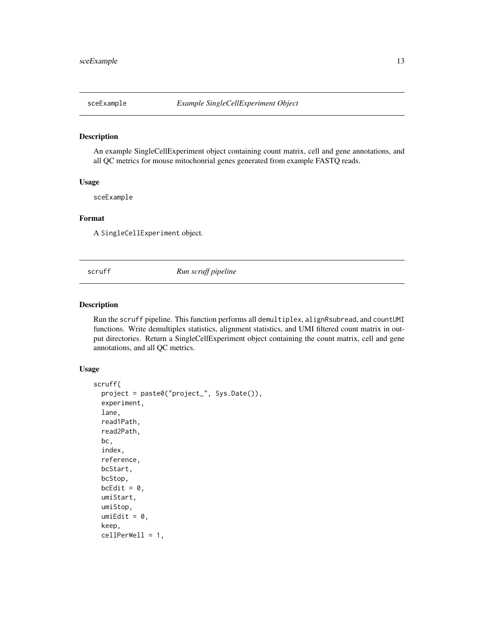<span id="page-12-0"></span>

## Description

An example SingleCellExperiment object containing count matrix, cell and gene annotations, and all QC metrics for mouse mitochonrial genes generated from example FASTQ reads.

# Usage

sceExample

# Format

A SingleCellExperiment object.

<span id="page-12-1"></span>scruff *Run scruff pipeline*

# Description

Run the scruff pipeline. This function performs all demultiplex, alignRsubread, and countUMI functions. Write demultiplex statistics, alignment statistics, and UMI filtered count matrix in output directories. Return a SingleCellExperiment object containing the count matrix, cell and gene annotations, and all QC metrics.

# Usage

```
scruff(
 project = paste0("project_", Sys.Date()),
  experiment,
  lane,
  read1Path,
  read2Path,
 bc,
  index,
  reference,
 bcStart,
 bcStop,
 bcEdit = 0,
  umiStart,
  umiStop,
  umifdit = 0,keep,
  cellPerWell = 1,
```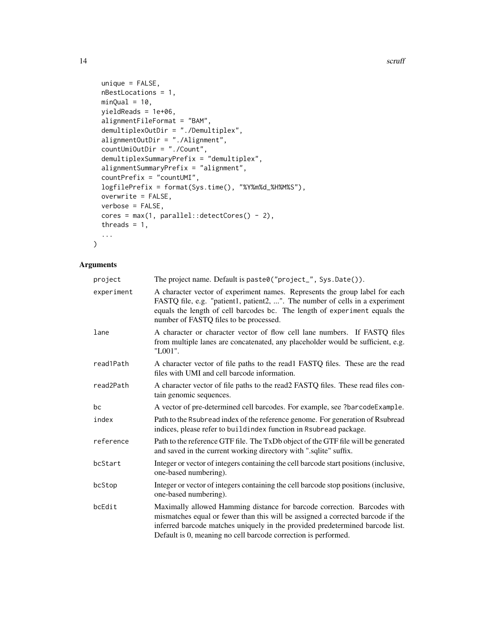```
unique = FALSE,nBestLocations = 1,
 minQual = 10,
 yieldReads = 1e+06,
 alignmentFileFormat = "BAM",
  demultiplexOutDir = "./Demultiplex",
  alignmentOutDir = "./Alignment",
 countUmiOutDir = "./Count",
  demultiplexSummaryPrefix = "demultiplex",
 alignmentSummaryPrefix = "alignment",
 countPrefix = "countUMI",
 logfilePrefix = format(Sys.time(), "%Y%m%d_%H%M%S"),
 overwrite = FALSE,
 verbose = FALSE,
 cores = max(1, parallel::detectCores() - 2),
  threads = 1,
  ...
\mathcal{L}
```
# Arguments

| project    | The project name. Default is paste0("project_", Sys.Date()).                                                                                                                                                                                                                                                   |  |
|------------|----------------------------------------------------------------------------------------------------------------------------------------------------------------------------------------------------------------------------------------------------------------------------------------------------------------|--|
| experiment | A character vector of experiment names. Represents the group label for each<br>FASTQ file, e.g. "patient1, patient2, ". The number of cells in a experiment<br>equals the length of cell barcodes bc. The length of experiment equals the<br>number of FASTQ files to be processed.                            |  |
| lane       | A character or character vector of flow cell lane numbers. If FASTQ files<br>from multiple lanes are concatenated, any placeholder would be sufficient, e.g.<br>"L001".                                                                                                                                        |  |
| read1Path  | A character vector of file paths to the read1 FASTQ files. These are the read<br>files with UMI and cell barcode information.                                                                                                                                                                                  |  |
| read2Path  | A character vector of file paths to the read2 FASTQ files. These read files con-<br>tain genomic sequences.                                                                                                                                                                                                    |  |
| bс         | A vector of pre-determined cell barcodes. For example, see ?barcodeExample.                                                                                                                                                                                                                                    |  |
| index      | Path to the Rsubread index of the reference genome. For generation of Rsubread<br>indices, please refer to buildindex function in Rsubread package.                                                                                                                                                            |  |
| reference  | Path to the reference GTF file. The TxDb object of the GTF file will be generated<br>and saved in the current working directory with ".sqlite" suffix.                                                                                                                                                         |  |
| bcStart    | Integer or vector of integers containing the cell barcode start positions (inclusive,<br>one-based numbering).                                                                                                                                                                                                 |  |
| bcStop     | Integer or vector of integers containing the cell barcode stop positions (inclusive,<br>one-based numbering).                                                                                                                                                                                                  |  |
| bcEdit     | Maximally allowed Hamming distance for barcode correction. Barcodes with<br>mismatches equal or fewer than this will be assigned a corrected barcode if the<br>inferred barcode matches uniquely in the provided predetermined barcode list.<br>Default is 0, meaning no cell barcode correction is performed. |  |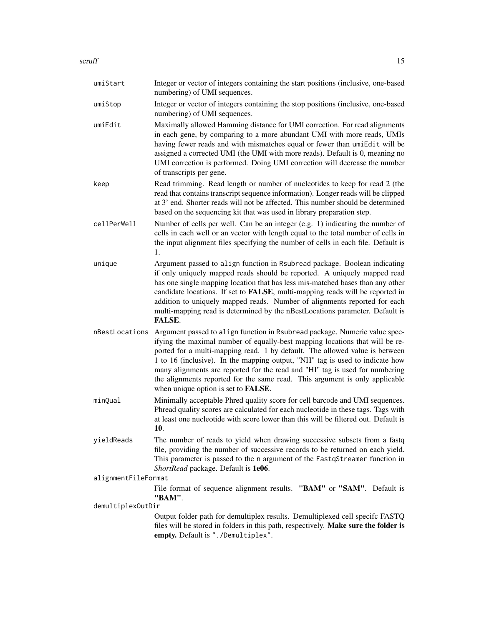| umiStart            | Integer or vector of integers containing the start positions (inclusive, one-based<br>numbering) of UMI sequences.                                                                                                                                                                                                                                                                                                                                                                                                                      |  |
|---------------------|-----------------------------------------------------------------------------------------------------------------------------------------------------------------------------------------------------------------------------------------------------------------------------------------------------------------------------------------------------------------------------------------------------------------------------------------------------------------------------------------------------------------------------------------|--|
| umiStop             | Integer or vector of integers containing the stop positions (inclusive, one-based<br>numbering) of UMI sequences.                                                                                                                                                                                                                                                                                                                                                                                                                       |  |
| umiEdit             | Maximally allowed Hamming distance for UMI correction. For read alignments<br>in each gene, by comparing to a more abundant UMI with more reads, UMIs<br>having fewer reads and with mismatches equal or fewer than umiEdit will be<br>assigned a corrected UMI (the UMI with more reads). Default is 0, meaning no<br>UMI correction is performed. Doing UMI correction will decrease the number<br>of transcripts per gene.                                                                                                           |  |
| keep                | Read trimming. Read length or number of nucleotides to keep for read 2 (the<br>read that contains transcript sequence information). Longer reads will be clipped<br>at 3' end. Shorter reads will not be affected. This number should be determined<br>based on the sequencing kit that was used in library preparation step.                                                                                                                                                                                                           |  |
| cellPerWell         | Number of cells per well. Can be an integer (e.g. 1) indicating the number of<br>cells in each well or an vector with length equal to the total number of cells in<br>the input alignment files specifying the number of cells in each file. Default is<br>1.                                                                                                                                                                                                                                                                           |  |
| unique              | Argument passed to align function in Rsubread package. Boolean indicating<br>if only uniquely mapped reads should be reported. A uniquely mapped read<br>has one single mapping location that has less mis-matched bases than any other<br>candidate locations. If set to FALSE, multi-mapping reads will be reported in<br>addition to uniquely mapped reads. Number of alignments reported for each<br>multi-mapping read is determined by the nBestLocations parameter. Default is<br><b>FALSE.</b>                                  |  |
| nBestLocations      | Argument passed to align function in Rsubread package. Numeric value spec-<br>ifying the maximal number of equally-best mapping locations that will be re-<br>ported for a multi-mapping read. 1 by default. The allowed value is between<br>1 to 16 (inclusive). In the mapping output, "NH" tag is used to indicate how<br>many alignments are reported for the read and "HI" tag is used for numbering<br>the alignments reported for the same read. This argument is only applicable<br>when unique option is set to <b>FALSE</b> . |  |
| minQual             | Minimally acceptable Phred quality score for cell barcode and UMI sequences.<br>Phread quality scores are calculated for each nucleotide in these tags. Tags with<br>at least one nucleotide with score lower than this will be filtered out. Default is<br>10.                                                                                                                                                                                                                                                                         |  |
| yieldReads          | The number of reads to yield when drawing successive subsets from a fastq<br>file, providing the number of successive records to be returned on each yield.<br>This parameter is passed to the n argument of the FastqStreamer function in<br>ShortRead package. Default is 1e06.                                                                                                                                                                                                                                                       |  |
| alignmentFileFormat |                                                                                                                                                                                                                                                                                                                                                                                                                                                                                                                                         |  |
|                     | File format of sequence alignment results. "BAM" or "SAM". Default is<br>"BAM".                                                                                                                                                                                                                                                                                                                                                                                                                                                         |  |
|                     | demultiplexOutDir<br>Output folder path for demultiplex results. Demultiplexed cell specifc FASTQ<br>files will be stored in folders in this path, respectively. Make sure the folder is<br>empty. Default is "./Demultiplex".                                                                                                                                                                                                                                                                                                          |  |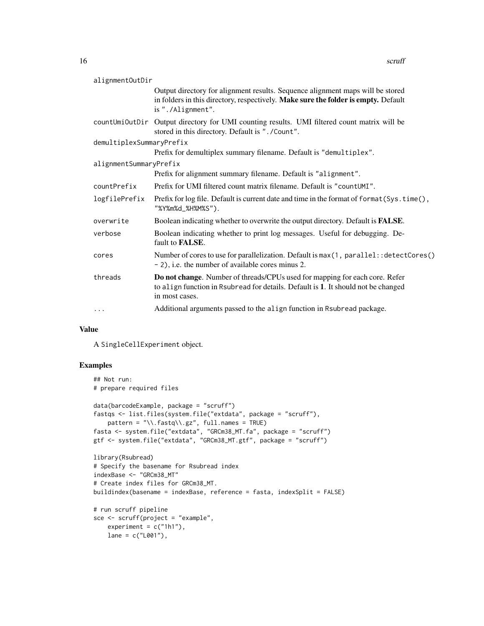| alignmentOutDir          |                                                                                                                                                                                           |
|--------------------------|-------------------------------------------------------------------------------------------------------------------------------------------------------------------------------------------|
|                          | Output directory for alignment results. Sequence alignment maps will be stored<br>in folders in this directory, respectively. Make sure the folder is empty. Default<br>is "./Alignment". |
|                          | countUmiOutDir Output directory for UMI counting results. UMI filtered count matrix will be<br>stored in this directory. Default is "./Count".                                            |
| demultiplexSummaryPrefix |                                                                                                                                                                                           |
|                          | Prefix for demultiplex summary filename. Default is "demultiplex".                                                                                                                        |
| alignmentSummaryPrefix   |                                                                                                                                                                                           |
|                          | Prefix for alignment summary filename. Default is "alignment".                                                                                                                            |
| countPrefix              | Prefix for UMI filtered count matrix filename. Default is "countUMI".                                                                                                                     |
| logfilePrefix            | Prefix for log file. Default is current date and time in the format of format (Sys. time (),<br>"%Y%m%d_%H%M%S").                                                                         |
| overwrite                | Boolean indicating whether to overwrite the output directory. Default is FALSE.                                                                                                           |
| verbose                  | Boolean indicating whether to print log messages. Useful for debugging. De-<br>fault to FALSE.                                                                                            |
| cores                    | Number of cores to use for parallelization. Default is max (1, parallel: : detectCores ()<br>- 2), i.e. the number of available cores minus 2.                                            |
| threads                  | Do not change. Number of threads/CPUs used for mapping for each core. Refer<br>to align function in Rsubread for details. Default is 1. It should not be changed<br>in most cases.        |
| $\cdots$                 | Additional arguments passed to the align function in Rsubread package.                                                                                                                    |

A SingleCellExperiment object.

```
## Not run:
# prepare required files
data(barcodeExample, package = "scruff")
fastqs <- list.files(system.file("extdata", package = "scruff"),
   pattern = "\\.fastq\\.gz", full.name = TRUE)fasta <- system.file("extdata", "GRCm38_MT.fa", package = "scruff")
gtf <- system.file("extdata", "GRCm38_MT.gtf", package = "scruff")
library(Rsubread)
# Specify the basename for Rsubread index
indexBase <- "GRCm38_MT"
# Create index files for GRCm38_MT.
buildindex(basename = indexBase, reference = fasta, indexSplit = FALSE)
# run scruff pipeline
sce <- scruff(project = "example",
   experiment = c("1h1"),
   lane = c("L001"),
```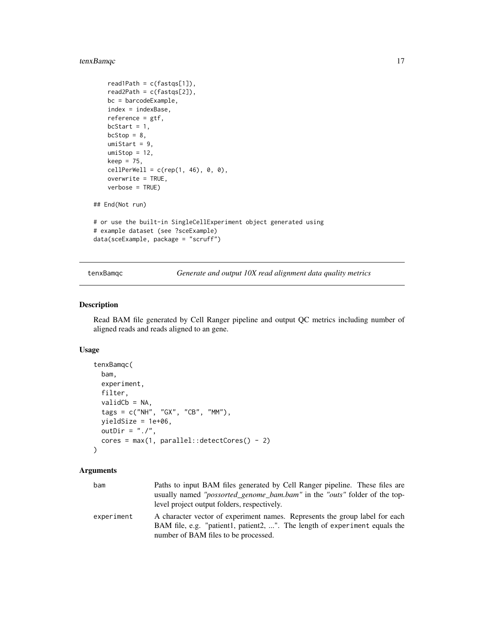# <span id="page-16-0"></span>tenxBamqc 17

```
readPath = c(fasts[1]),read2Path = c(fastqs[2]),
   bc = barcodeExample,
   index = indexBase,
   reference = gtf,
   bcStart = 1,bcStop = 8,umiStart = 9,
   umistop = 12,keep = 75,
   cellPerWell = c(rep(1, 46), 0, 0),
   overwrite = TRUE,
   verbose = TRUE)
## End(Not run)
# or use the built-in SingleCellExperiment object generated using
# example dataset (see ?sceExample)
data(sceExample, package = "scruff")
```
<span id="page-16-1"></span>tenxBamqc *Generate and output 10X read alignment data quality metrics*

# Description

Read BAM file generated by Cell Ranger pipeline and output QC metrics including number of aligned reads and reads aligned to an gene.

# Usage

```
tenxBamqc(
 bam,
 experiment,
 filter,
 validCb = NA,tags = c("NH", "GX", "CB", "MM"),
 yieldSize = 1e+06,
 outDir = "./".cores = max(1, parallel::detectCores() - 2))
```
#### Arguments

| bam        | Paths to input BAM files generated by Cell Ranger pipeline. These files are<br>usually named " <i>possorted genome bam.bam</i> " in the " <i>outs</i> " folder of the top-<br>level project output folders, respectively. |
|------------|---------------------------------------------------------------------------------------------------------------------------------------------------------------------------------------------------------------------------|
| experiment | A character vector of experiment names. Represents the group label for each<br>BAM file, e.g. "patient1, patient2, ". The length of experiment equals the<br>number of BAM files to be processed.                         |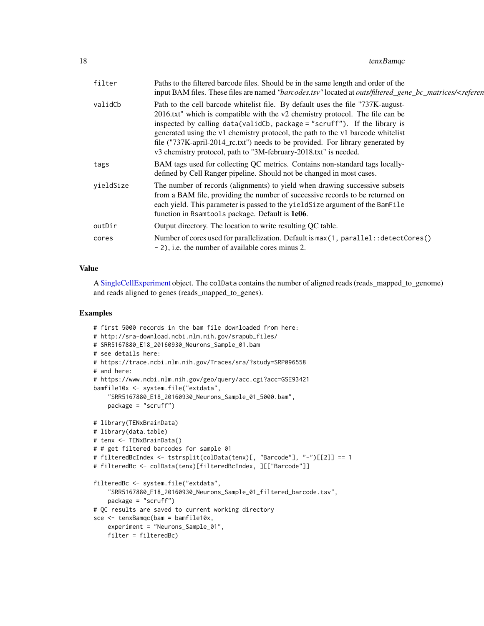<span id="page-17-0"></span>

| filter    | Paths to the filtered barcode files. Should be in the same length and order of the<br>input BAM files. These files are named "barcodes.tsv" located at outs/filtered_gene_bc_matrices/ <referen< th=""></referen<>                                                                                                                                                                                                                                                                     |
|-----------|----------------------------------------------------------------------------------------------------------------------------------------------------------------------------------------------------------------------------------------------------------------------------------------------------------------------------------------------------------------------------------------------------------------------------------------------------------------------------------------|
| validCb   | Path to the cell barcode whitelist file. By default uses the file "737K-august-<br>2016.txt" which is compatible with the v2 chemistry protocol. The file can be<br>inspected by calling data(validCb, package = "scruff"). If the library is<br>generated using the v1 chemistry protocol, the path to the v1 barcode whitelist<br>file ("737K-april-2014_rc.txt") needs to be provided. For library generated by<br>v3 chemistry protocol, path to "3M-february-2018.txt" is needed. |
| tags      | BAM tags used for collecting QC metrics. Contains non-standard tags locally-<br>defined by Cell Ranger pipeline. Should not be changed in most cases.                                                                                                                                                                                                                                                                                                                                  |
| yieldSize | The number of records (alignments) to yield when drawing successive subsets<br>from a BAM file, providing the number of successive records to be returned on<br>each yield. This parameter is passed to the yield Size argument of the BamFile<br>function in Rsamtools package. Default is 1e06.                                                                                                                                                                                      |
| outDir    | Output directory. The location to write resulting QC table.                                                                                                                                                                                                                                                                                                                                                                                                                            |
| cores     | Number of cores used for parallelization. Default is $max(1, parallel::detectCores()$<br>- 2), i.e. the number of available cores minus 2.                                                                                                                                                                                                                                                                                                                                             |
|           |                                                                                                                                                                                                                                                                                                                                                                                                                                                                                        |

A [SingleCellExperiment](#page-0-0) object. The colData contains the number of aligned reads (reads\_mapped\_to\_genome) and reads aligned to genes (reads\_mapped\_to\_genes).

```
# first 5000 records in the bam file downloaded from here:
# http://sra-download.ncbi.nlm.nih.gov/srapub_files/
# SRR5167880_E18_20160930_Neurons_Sample_01.bam
# see details here:
# https://trace.ncbi.nlm.nih.gov/Traces/sra/?study=SRP096558
# and here:
# https://www.ncbi.nlm.nih.gov/geo/query/acc.cgi?acc=GSE93421
bamfile10x <- system.file("extdata",
    "SRR5167880_E18_20160930_Neurons_Sample_01_5000.bam",
    package = "scruff")
# library(TENxBrainData)
# library(data.table)
# tenx <- TENxBrainData()
# # get filtered barcodes for sample 01
# filteredBcIndex <- tstrsplit(colData(tenx)[, "Barcode"], "-")[[2]] == 1
# filteredBc <- colData(tenx)[filteredBcIndex, ][["Barcode"]]
filteredBc <- system.file("extdata",
    "SRR5167880_E18_20160930_Neurons_Sample_01_filtered_barcode.tsv",
    package = "scruff")
# QC results are saved to current working directory
sce <- tenxBamqc(bam = bamfile10x,
   experiment = "Neurons_Sample_01",
    filter = filteredBc)
```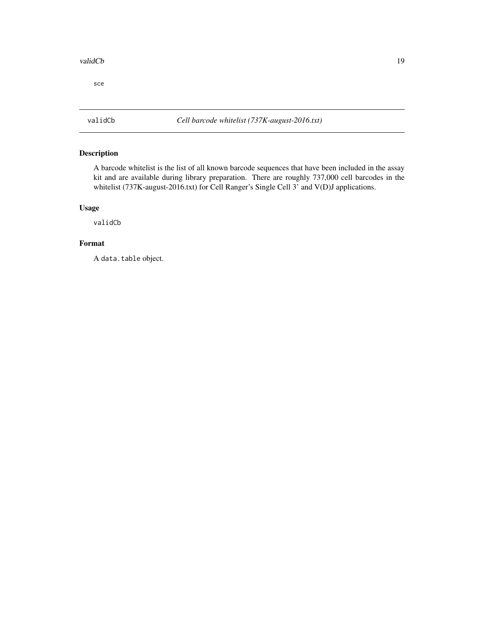### <span id="page-18-0"></span>validCb 19

sce

# Description

A barcode whitelist is the list of all known barcode sequences that have been included in the assay kit and are available during library preparation. There are roughly 737,000 cell barcodes in the whitelist (737K-august-2016.txt) for Cell Ranger's Single Cell 3' and V(D)J applications.

# Usage

validCb

# Format

A data.table object.